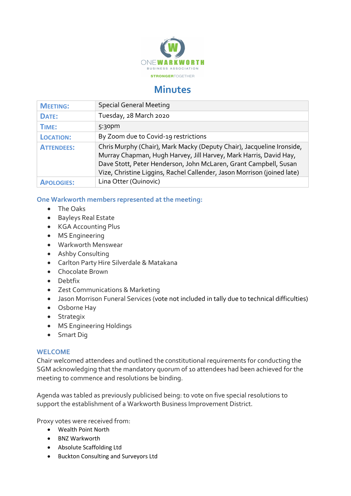

## **Minutes**

| <b>MEETING:</b>   | <b>Special General Meeting</b>                                                                                                                                                                                                                                                            |
|-------------------|-------------------------------------------------------------------------------------------------------------------------------------------------------------------------------------------------------------------------------------------------------------------------------------------|
| DATE:             | Tuesday, 28 March 2020                                                                                                                                                                                                                                                                    |
| TIME:             | 5:30 <sub>pm</sub>                                                                                                                                                                                                                                                                        |
| <b>LOCATION:</b>  | By Zoom due to Covid-19 restrictions                                                                                                                                                                                                                                                      |
| <b>ATTENDEES:</b> | Chris Murphy (Chair), Mark Macky (Deputy Chair), Jacqueline Ironside,<br>Murray Chapman, Hugh Harvey, Jill Harvey, Mark Harris, David Hay,<br>Dave Stott, Peter Henderson, John McLaren, Grant Campbell, Susan<br>Vize, Christine Liggins, Rachel Callender, Jason Morrison (joined late) |
| <b>APOLOGIES:</b> | Lina Otter (Quinovic)                                                                                                                                                                                                                                                                     |

## One Warkworth members represented at the meeting:

- The Oaks
- Bayleys Real Estate
- KGA Accounting Plus
- MS Engineering
- Warkworth Menswear
- Ashby Consulting
- Carlton Party Hire Silverdale & Matakana
- Chocolate Brown
- Debtfix
- Zest Communications & Marketing
- Jason Morrison Funeral Services (vote not included in tally due to technical difficulties)
- Osborne Hay
- Strategix
- MS Engineering Holdings
- Smart Dig

## **WELCOME**

Chair welcomed attendees and outlined the constitutional requirements for conducting the SGM acknowledging that the mandatory quorum of 10 attendees had been achieved for the meeting to commence and resolutions be binding.

Agenda was tabled as previously publicised being: to vote on five special resolutions to support the establishment of a Warkworth Business Improvement District.

Proxy votes were received from:

- Wealth Point North
- BNZ Warkworth
- Absolute Scaffolding Ltd
- Buckton Consulting and Surveyors Ltd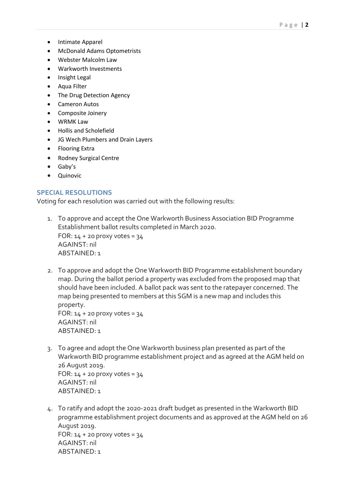- Intimate Apparel
- McDonald Adams Optometrists
- Webster Malcolm Law
- Warkworth Investments
- Insight Legal
- Aqua Filter
- The Drug Detection Agency
- Cameron Autos
- Composite Joinery
- WRMK Law
- Hollis and Scholefield
- JG Wech Plumbers and Drain Layers
- Flooring Extra
- Rodney Surgical Centre
- Gaby's
- Quinovic

## SPECIAL RESOLUTIONS

Voting for each resolution was carried out with the following results:

- 1. To approve and accept the One Warkworth Business Association BID Programme Establishment ballot results completed in March 2020. FOR:  $14 + 20$  proxy votes =  $34$ AGAINST: nil ABSTAINED: 1
- 2. To approve and adopt the One Warkworth BID Programme establishment boundary map. During the ballot period a property was excluded from the proposed map that should have been included. A ballot pack was sent to the ratepayer concerned. The map being presented to members at this SGM is a new map and includes this property. FOR:  $14 + 20$  proxy votes =  $34$

AGAINST: nil ABSTAINED: 1

- 3. To agree and adopt the One Warkworth business plan presented as part of the Warkworth BID programme establishment project and as agreed at the AGM held on 26 August 2019. FOR:  $14 + 20$  proxy votes =  $34$ AGAINST: nil ABSTAINED: 1
- 4. To ratify and adopt the 2020-2021 draft budget as presented in the Warkworth BID programme establishment project documents and as approved at the AGM held on 26 August 2019. FOR:  $14 + 20$  proxy votes =  $34$ AGAINST: nil ABSTAINED: 1